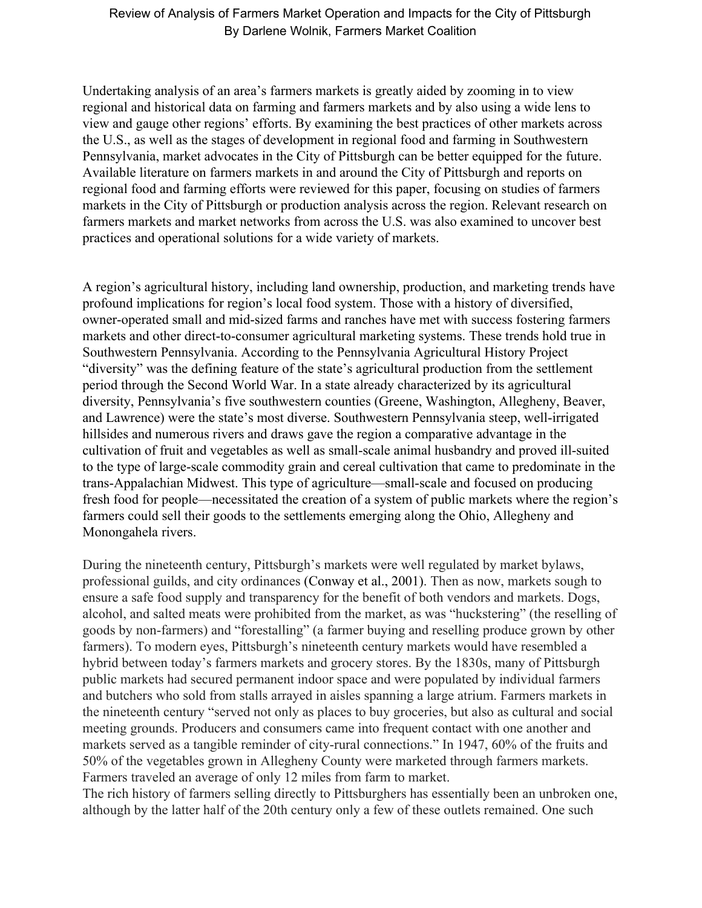Undertaking analysis of an area's farmers markets is greatly aided by zooming in to view regional and historical data on farming and farmers markets and by also using a wide lens to view and gauge other regions' efforts. By examining the best practices of other markets across the U.S., as well as the stages of development in regional food and farming in Southwestern Pennsylvania, market advocates in the City of Pittsburgh can be better equipped for the future. Available literature on farmers markets in and around the City of Pittsburgh and reports on regional food and farming efforts were reviewed for this paper, focusing on studies of farmers markets in the City of Pittsburgh or production analysis across the region. Relevant research on farmers markets and market networks from across the U.S. was also examined to uncover best practices and operational solutions for a wide variety of markets.

A region's agricultural history, including land ownership, production, and marketing trends have profound implications for region's local food system. Those with a history of diversified, owner-operated small and mid-sized farms and ranches have met with success fostering farmers markets and other direct-to-consumer agricultural marketing systems. These trends hold true in Southwestern Pennsylvania. According to the Pennsylvania Agricultural History Project "diversity" was the defining feature of the state's agricultural production from the settlement period through the Second World War. In a state already characterized by its agricultural diversity, Pennsylvania's five southwestern counties (Greene, Washington, Allegheny, Beaver, and Lawrence) were the state's most diverse. Southwestern Pennsylvania steep, well-irrigated hillsides and numerous rivers and draws gave the region a comparative advantage in the cultivation of fruit and vegetables as well as small-scale animal husbandry and proved ill-suited to the type of large-scale commodity grain and cereal cultivation that came to predominate in the trans-Appalachian Midwest. This type of agriculture—small-scale and focused on producing fresh food for people—necessitated the creation of a system of public markets where the region's farmers could sell their goods to the settlements emerging along the Ohio, Allegheny and Monongahela rivers.

During the nineteenth century, Pittsburgh's markets were well regulated by market bylaws, professional guilds, and city ordinances (Conway et al., 2001). Then as now, markets sough to ensure a safe food supply and transparency for the benefit of both vendors and markets. Dogs, alcohol, and salted meats were prohibited from the market, as was "huckstering" (the reselling of goods by non-farmers) and "forestalling" (a farmer buying and reselling produce grown by other farmers). To modern eyes, Pittsburgh's nineteenth century markets would have resembled a hybrid between today's farmers markets and grocery stores. By the 1830s, many of Pittsburgh public markets had secured permanent indoor space and were populated by individual farmers and butchers who sold from stalls arrayed in aisles spanning a large atrium. Farmers markets in the nineteenth century "served not only as places to buy groceries, but also as cultural and social meeting grounds. Producers and consumers came into frequent contact with one another and markets served as a tangible reminder of city-rural connections." In 1947, 60% of the fruits and 50% of the vegetables grown in Allegheny County were marketed through farmers markets. Farmers traveled an average of only 12 miles from farm to market.

The rich history of farmers selling directly to Pittsburghers has essentially been an unbroken one, although by the latter half of the 20th century only a few of these outlets remained. One such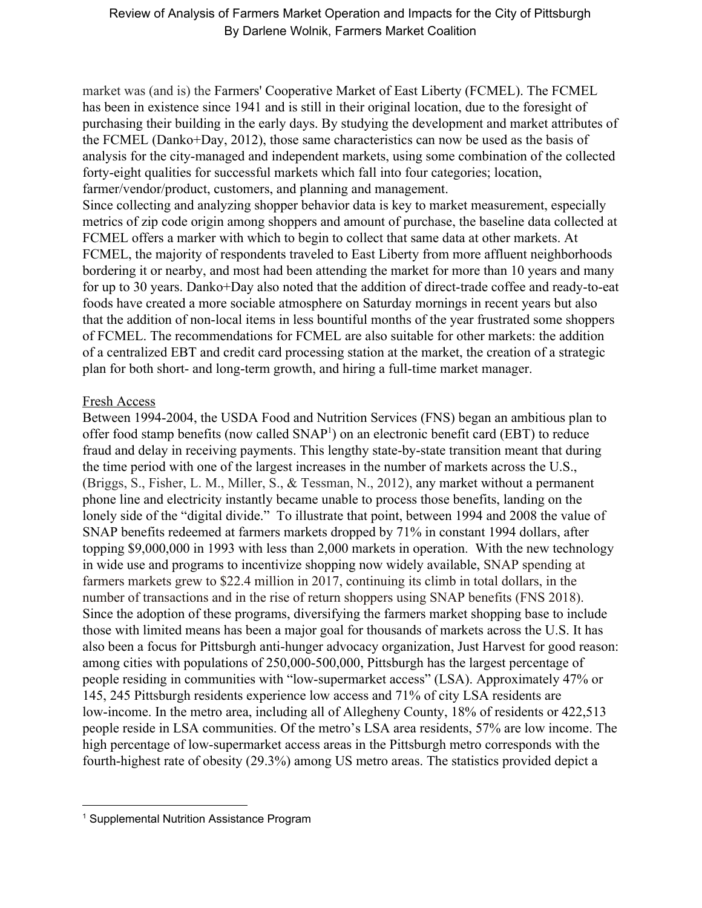market was (and is) the Farmers' Cooperative Market of East Liberty (FCMEL). The FCMEL has been in existence since 1941 and is still in their original location, due to the foresight of purchasing their building in the early days. By studying the development and market attributes of the FCMEL (Danko+Day, 2012), those same characteristics can now be used as the basis of analysis for the city-managed and independent markets, using some combination of the collected forty-eight qualities for successful markets which fall into four categories; location, farmer/vendor/product, customers, and planning and management.

Since collecting and analyzing shopper behavior data is key to market measurement, especially metrics of zip code origin among shoppers and amount of purchase, the baseline data collected at FCMEL offers a marker with which to begin to collect that same data at other markets. At FCMEL, the majority of respondents traveled to East Liberty from more affluent neighborhoods bordering it or nearby, and most had been attending the market for more than 10 years and many for up to 30 years. Danko+Day also noted that the addition of direct-trade coffee and ready-to-eat foods have created a more sociable atmosphere on Saturday mornings in recent years but also that the addition of non-local items in less bountiful months of the year frustrated some shoppers of FCMEL. The recommendations for FCMEL are also suitable for other markets: the addition of a centralized EBT and credit card processing station at the market, the creation of a strategic plan for both short- and long-term growth, and hiring a full-time market manager.

# Fresh Access

Between 1994-2004, the USDA Food and Nutrition Services (FNS) began an ambitious plan to offer food stamp benefits (now called  $SNAP<sup>1</sup>$ ) on an electronic benefit card (EBT) to reduce fraud and delay in receiving payments. This lengthy state-by-state transition meant that during the time period with one of the largest increases in the number of markets across the U.S., (Briggs, S., Fisher, L. M., Miller, S., & Tessman, N., 2012), any market without a permanent phone line and electricity instantly became unable to process those benefits, landing on the lonely side of the "digital divide." To illustrate that point, between 1994 and 2008 the value of SNAP benefits redeemed at farmers markets dropped by 71% in constant 1994 dollars, after topping \$9,000,000 in 1993 with less than 2,000 markets in operation. With the new technology in wide use and programs to incentivize shopping now widely available, SNAP spending at farmers markets grew to \$22.4 million in 2017, continuing its climb in total dollars, in the number of transactions and in the rise of return shoppers using SNAP benefits (FNS 2018). Since the adoption of these programs, diversifying the farmers market shopping base to include those with limited means has been a major goal for thousands of markets across the U.S. It has also been a focus for Pittsburgh anti-hunger advocacy organization, Just Harvest for good reason: among cities with populations of 250,000-500,000, Pittsburgh has the largest percentage of people residing in communities with "low-supermarket access" (LSA). Approximately 47% or 145, 245 Pittsburgh residents experience low access and 71% of city LSA residents are low-income. In the metro area, including all of Allegheny County, 18% of residents or 422,513 people reside in LSA communities. Of the metro's LSA area residents, 57% are low income. The high percentage of low-supermarket access areas in the Pittsburgh metro corresponds with the fourth-highest rate of obesity (29.3%) among US metro areas. The statistics provided depict a

<sup>&</sup>lt;sup>1</sup> Supplemental Nutrition Assistance Program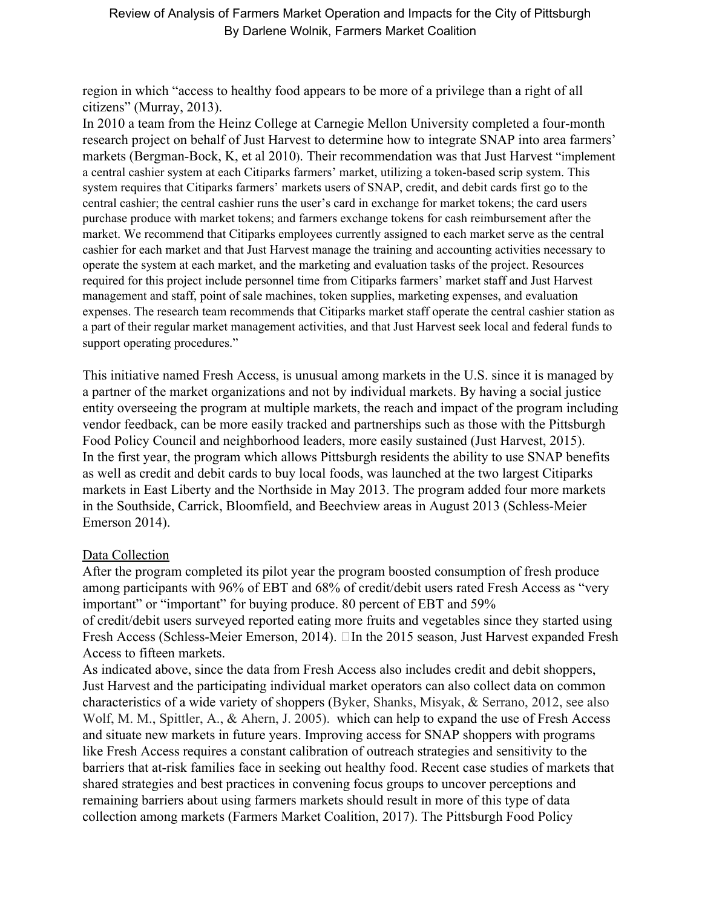region in which "access to healthy food appears to be more of a privilege than a right of all citizens" (Murray, 2013).

In 2010 a team from the Heinz College at Carnegie Mellon University completed a four-month research project on behalf of Just Harvest to determine how to integrate SNAP into area farmers' markets (Bergman-Bock, K, et al 2010). Their recommendation was that Just Harvest "implement a central cashier system at each Citiparks farmers' market, utilizing a token-based scrip system. This system requires that Citiparks farmers' markets users of SNAP, credit, and debit cards first go to the central cashier; the central cashier runs the user's card in exchange for market tokens; the card users purchase produce with market tokens; and farmers exchange tokens for cash reimbursement after the market. We recommend that Citiparks employees currently assigned to each market serve as the central cashier for each market and that Just Harvest manage the training and accounting activities necessary to operate the system at each market, and the marketing and evaluation tasks of the project. Resources required for this project include personnel time from Citiparks farmers' market staff and Just Harvest management and staff, point of sale machines, token supplies, marketing expenses, and evaluation expenses. The research team recommends that Citiparks market staff operate the central cashier station as a part of their regular market management activities, and that Just Harvest seek local and federal funds to support operating procedures."

This initiative named Fresh Access, is unusual among markets in the U.S. since it is managed by a partner of the market organizations and not by individual markets. By having a social justice entity overseeing the program at multiple markets, the reach and impact of the program including vendor feedback, can be more easily tracked and partnerships such as those with the Pittsburgh Food Policy Council and neighborhood leaders, more easily sustained (Just Harvest, 2015). In the first year, the program which allows Pittsburgh residents the ability to use SNAP benefits as well as credit and debit cards to buy local foods, was launched at the two largest Citiparks markets in East Liberty and the Northside in May 2013. The program added four more markets in the Southside, Carrick, Bloomfield, and Beechview areas in August 2013 (Schless-Meier Emerson 2014).

# Data Collection

After the program completed its pilot year the program boosted consumption of fresh produce among participants with 96% of EBT and 68% of credit/debit users rated Fresh Access as "very important" or "important" for buying produce. 80 percent of EBT and 59% of credit/debit users surveyed reported eating more fruits and vegetables since they started using Fresh Access (Schless-Meier Emerson, 2014).  $\Box$  In the 2015 season, Just Harvest expanded Fresh Access to fifteen markets.

As indicated above, since the data from Fresh Access also includes credit and debit shoppers, Just Harvest and the participating individual market operators can also collect data on common characteristics of a wide variety of shoppers (Byker, Shanks, Misyak, & Serrano, 2012, see also Wolf, M. M., Spittler, A., & Ahern, J. 2005). which can help to expand the use of Fresh Access and situate new markets in future years. Improving access for SNAP shoppers with programs like Fresh Access requires a constant calibration of outreach strategies and sensitivity to the barriers that at-risk families face in seeking out healthy food. Recent case studies of markets that shared strategies and best practices in convening focus groups to uncover perceptions and remaining barriers about using farmers markets should result in more of this type of data collection among markets (Farmers Market Coalition, 2017). The Pittsburgh Food Policy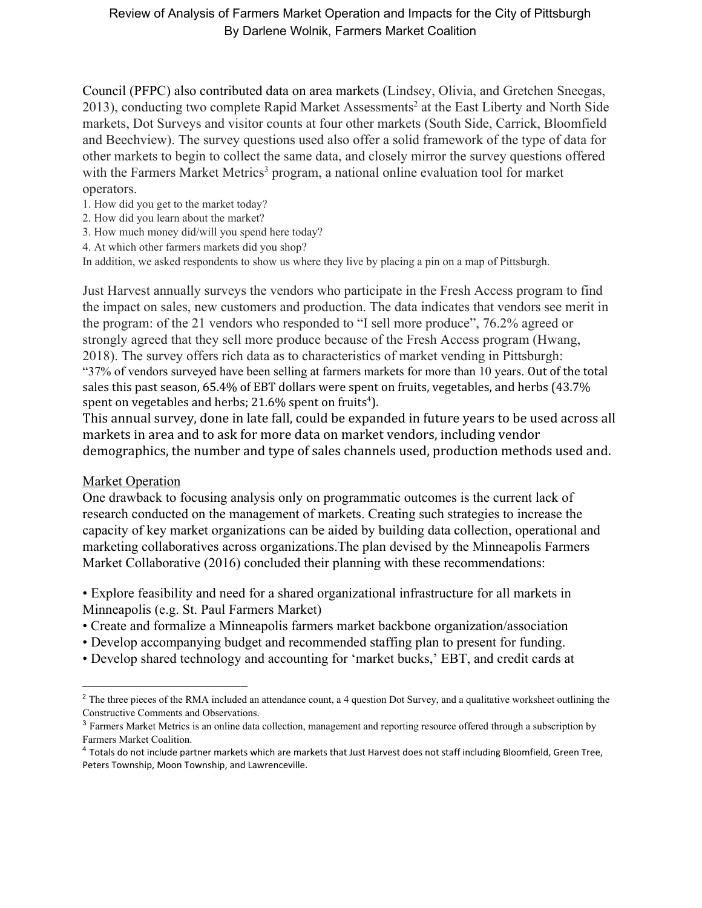Council (PFPC) also contributed data on area markets (Lindsey, Olivia, and Gretchen Sneegas, 2013), conducting two complete Rapid Market Assessments<sup>2</sup> at the East Liberty and North Side markets, Dot Surveys and visitor counts at four other markets (South Side, Carrick, Bloomfield and Beechview). The survey questions used also offer a solid framework of the type of data for other markets to begin to collect the same data, and closely mirror the survey questions offered with the Farmers Market Metrics<sup>3</sup> program, a national online evaluation tool for market operators.

- 1. How did you get to the market today?
- 2. How did you learn about the market?
- 3. How much money did/will you spend here today?
- 4. At which other farmers markets did you shop?

In addition, we asked respondents to show us where they live by placing a pin on a map of Pittsburgh.

Just Harvest annually surveys the vendors who participate in the Fresh Access program to find the impact on sales, new customers and production. The data indicates that vendors see merit in the program: of the 21 vendors who responded to "I sell more produce", 76.2% agreed or strongly agreed that they sell more produce because of the Fresh Access program (Hwang, 2018). The survey offers rich data as to characteristics of market vending in Pittsburgh: "37% of vendors surveyed have been selling at farmers markets for more than 10 years. Out of the total sales this past season, 65.4% of EBT dollars were spent on fruits, vegetables, and herbs (43.7% spent on vegetables and herbs; 21.6% spent on fruits<sup>4</sup>).

This annual survey, done in late fall, could be expanded in future years to be used across all markets in area and to ask for more data on market vendors, including vendor demographics, the number and type of sales channels used, production methods used and.

#### Market Operation

One drawback to focusing analysis only on programmatic outcomes is the current lack of research conducted on the management of markets. Creating such strategies to increase the capacity of key market organizations can be aided by building data collection, operational and marketing collaboratives across organizations.The plan devised by the Minneapolis Farmers Market Collaborative (2016) concluded their planning with these recommendations:

• Explore feasibility and need for a shared organizational infrastructure for all markets in Minneapolis (e.g. St. Paul Farmers Market)

- Create and formalize a Minneapolis farmers market backbone organization/association
- Develop accompanying budget and recommended staffing plan to present for funding.
- Develop shared technology and accounting for 'market bucks,' EBT, and credit cards at

<sup>&</sup>lt;sup>2</sup> The three pieces of the RMA included an attendance count, a 4 question Dot Survey, and a qualitative worksheet outlining the Constructive Comments and Observations.

<sup>3</sup> Farmers Market Metrics is an online data collection, management and reporting resource offered through a subscription by Farmers Market Coalition.

<sup>4</sup> Totals do not include partner markets which are markets that Just Harvest does not staff including Bloomfield, Green Tree, Peters Township, Moon Township, and Lawrenceville.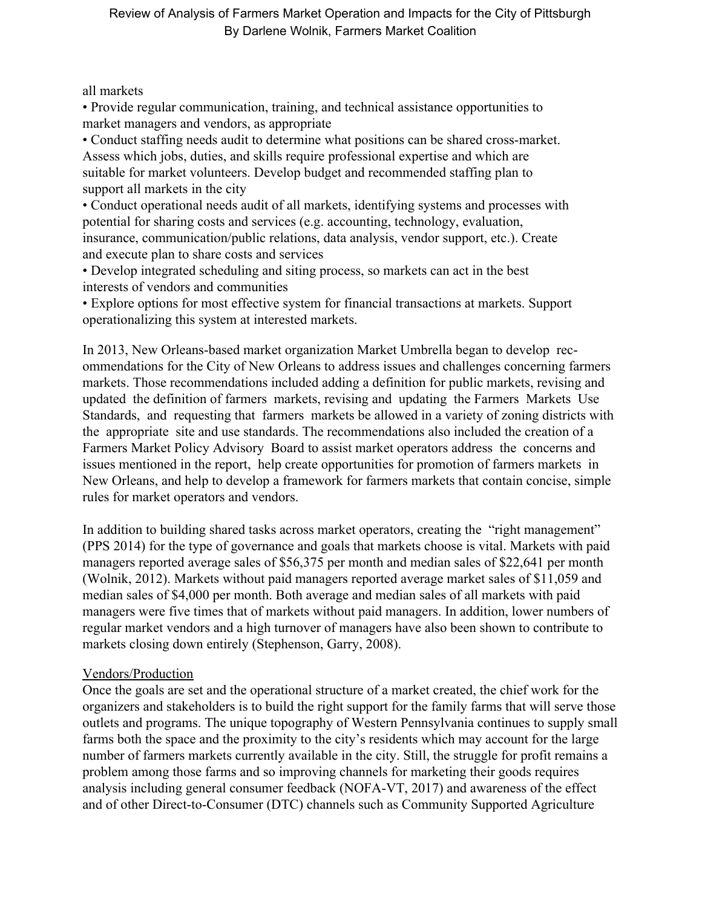all markets

• Provide regular communication, training, and technical assistance opportunities to market managers and vendors, as appropriate

• Conduct staffing needs audit to determine what positions can be shared cross-market. Assess which jobs, duties, and skills require professional expertise and which are suitable for market volunteers. Develop budget and recommended staffing plan to support all markets in the city

• Conduct operational needs audit of all markets, identifying systems and processes with potential for sharing costs and services (e.g. accounting, technology, evaluation, insurance, communication/public relations, data analysis, vendor support, etc.). Create and execute plan to share costs and services

• Develop integrated scheduling and siting process, so markets can act in the best interests of vendors and communities

• Explore options for most effective system for financial transactions at markets. Support operationalizing this system at interested markets.

In 2013, New Orleans-based market organization Market Umbrella began to develop recommendations for the City of New Orleans to address issues and challenges concerning farmers markets. Those recommendations included adding a definition for public markets, revising and updated the definition of farmers markets, revising and updating the Farmers Markets Use Standards, and requesting that farmers markets be allowed in a variety of zoning districts with the appropriate site and use standards. The recommendations also included the creation of a Farmers Market Policy Advisory Board to assist market operators address the concerns and issues mentioned in the report, help create opportunities for promotion of farmers markets in New Orleans, and help to develop a framework for farmers markets that contain concise, simple rules for market operators and vendors.

In addition to building shared tasks across market operators, creating the "right management" (PPS 2014) for the type of governance and goals that markets choose is vital. Markets with paid managers reported average sales of \$56,375 per month and median sales of \$22,641 per month (Wolnik, 2012). Markets without paid managers reported average market sales of \$11,059 and median sales of \$4,000 per month. Both average and median sales of all markets with paid managers were five times that of markets without paid managers. In addition, lower numbers of regular market vendors and a high turnover of managers have also been shown to contribute to markets closing down entirely (Stephenson, Garry, 2008).

# Vendors/Production

Once the goals are set and the operational structure of a market created, the chief work for the organizers and stakeholders is to build the right support for the family farms that will serve those outlets and programs. The unique topography of Western Pennsylvania continues to supply small farms both the space and the proximity to the city's residents which may account for the large number of farmers markets currently available in the city. Still, the struggle for profit remains a problem among those farms and so improving channels for marketing their goods requires analysis including general consumer feedback (NOFA-VT, 2017) and awareness of the effect and of other Direct-to-Consumer (DTC) channels such as Community Supported Agriculture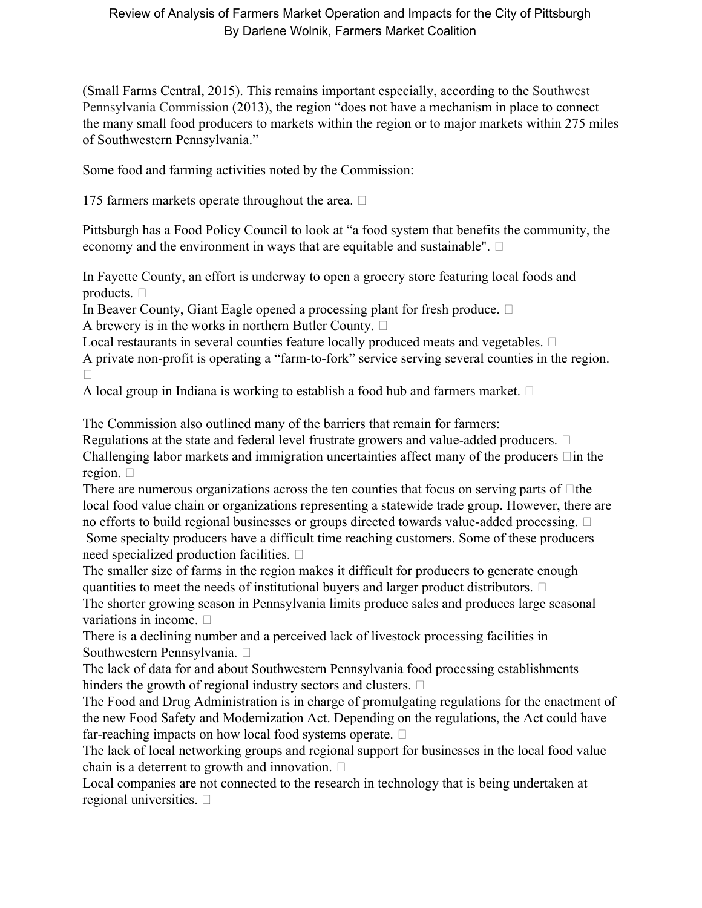(Small Farms Central, 2015). This remains important especially, according to the Southwest Pennsylvania Commission (2013), the region "does not have a mechanism in place to connect the many small food producers to markets within the region or to major markets within 275 miles of Southwestern Pennsylvania."

Some food and farming activities noted by the Commission:

175 farmers markets operate throughout the area.  $\Box$ 

Pittsburgh has a Food Policy Council to look at "a food system that benefits the community, the economy and the environment in ways that are equitable and sustainable".  $\Box$ 

In Fayette County, an effort is underway to open a grocery store featuring local foods and products.  $\Box$ 

In Beaver County, Giant Eagle opened a processing plant for fresh produce.  $\Box$ A brewery is in the works in northern Butler County.  $\Box$ 

Local restaurants in several counties feature locally produced meats and vegetables.  $\Box$ A private non-profit is operating a "farm-to-fork" service serving several counties in the region.  $\Box$ 

A local group in Indiana is working to establish a food hub and farmers market.  $\Box$ 

The Commission also outlined many of the barriers that remain for farmers:

Regulations at the state and federal level frustrate growers and value-added producers.  $\Box$ Challenging labor markets and immigration uncertainties affect many of the producers  $\Box$  in the region.  $\square$ 

There are numerous organizations across the ten counties that focus on serving parts of  $\Box$ the local food value chain or organizations representing a statewide trade group. However, there are no efforts to build regional businesses or groups directed towards value-added processing.

 Some specialty producers have a difficult time reaching customers. Some of these producers need specialized production facilities.

The smaller size of farms in the region makes it difficult for producers to generate enough quantities to meet the needs of institutional buyers and larger product distributors.  $\Box$ The shorter growing season in Pennsylvania limits produce sales and produces large seasonal variations in income.  $\square$ 

There is a declining number and a perceived lack of livestock processing facilities in Southwestern Pennsylvania.

The lack of data for and about Southwestern Pennsylvania food processing establishments hinders the growth of regional industry sectors and clusters.  $\Box$ 

The Food and Drug Administration is in charge of promulgating regulations for the enactment of the new Food Safety and Modernization Act. Depending on the regulations, the Act could have far-reaching impacts on how local food systems operate.  $\Box$ 

The lack of local networking groups and regional support for businesses in the local food value chain is a deterrent to growth and innovation.  $\square$ 

Local companies are not connected to the research in technology that is being undertaken at regional universities.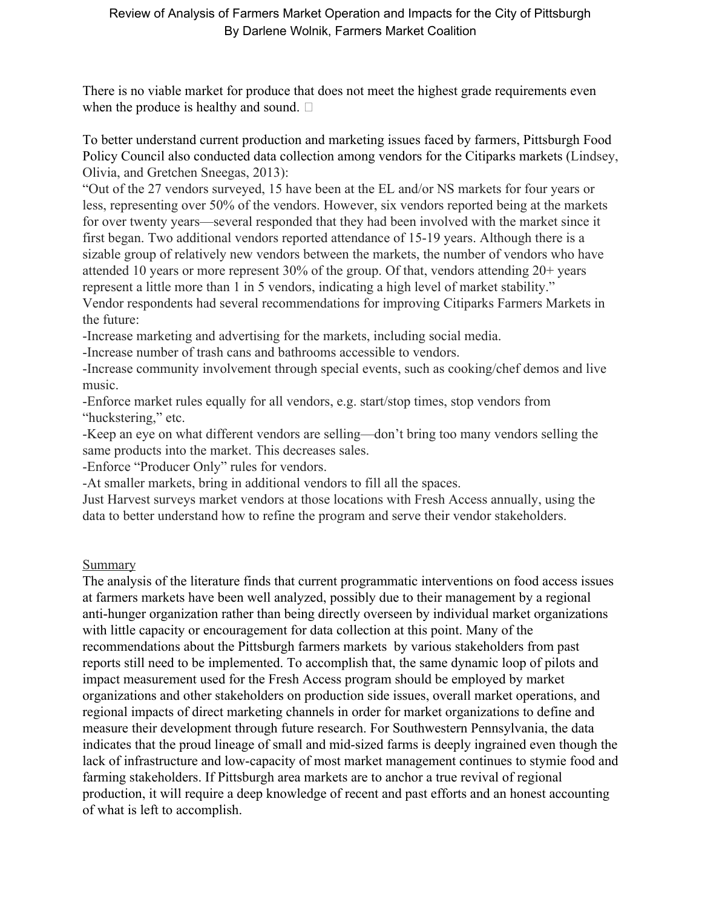There is no viable market for produce that does not meet the highest grade requirements even when the produce is healthy and sound.  $\square$ 

To better understand current production and marketing issues faced by farmers, Pittsburgh Food Policy Council also conducted data collection among vendors for the Citiparks markets (Lindsey, Olivia, and Gretchen Sneegas, 2013):

"Out of the 27 vendors surveyed, 15 have been at the EL and/or NS markets for four years or less, representing over 50% of the vendors. However, six vendors reported being at the markets for over twenty years—several responded that they had been involved with the market since it first began. Two additional vendors reported attendance of 15-19 years. Although there is a sizable group of relatively new vendors between the markets, the number of vendors who have attended 10 years or more represent 30% of the group. Of that, vendors attending 20+ years represent a little more than 1 in 5 vendors, indicating a high level of market stability." Vendor respondents had several recommendations for improving Citiparks Farmers Markets in the future:

-Increase marketing and advertising for the markets, including social media.

-Increase number of trash cans and bathrooms accessible to vendors.

-Increase community involvement through special events, such as cooking/chef demos and live music.

-Enforce market rules equally for all vendors, e.g. start/stop times, stop vendors from "huckstering," etc.

-Keep an eye on what different vendors are selling—don't bring too many vendors selling the same products into the market. This decreases sales.

-Enforce "Producer Only" rules for vendors.

-At smaller markets, bring in additional vendors to fill all the spaces.

Just Harvest surveys market vendors at those locations with Fresh Access annually, using the data to better understand how to refine the program and serve their vendor stakeholders.

# Summary

The analysis of the literature finds that current programmatic interventions on food access issues at farmers markets have been well analyzed, possibly due to their management by a regional anti-hunger organization rather than being directly overseen by individual market organizations with little capacity or encouragement for data collection at this point. Many of the recommendations about the Pittsburgh farmers markets by various stakeholders from past reports still need to be implemented. To accomplish that, the same dynamic loop of pilots and impact measurement used for the Fresh Access program should be employed by market organizations and other stakeholders on production side issues, overall market operations, and regional impacts of direct marketing channels in order for market organizations to define and measure their development through future research. For Southwestern Pennsylvania, the data indicates that the proud lineage of small and mid-sized farms is deeply ingrained even though the lack of infrastructure and low-capacity of most market management continues to stymie food and farming stakeholders. If Pittsburgh area markets are to anchor a true revival of regional production, it will require a deep knowledge of recent and past efforts and an honest accounting of what is left to accomplish.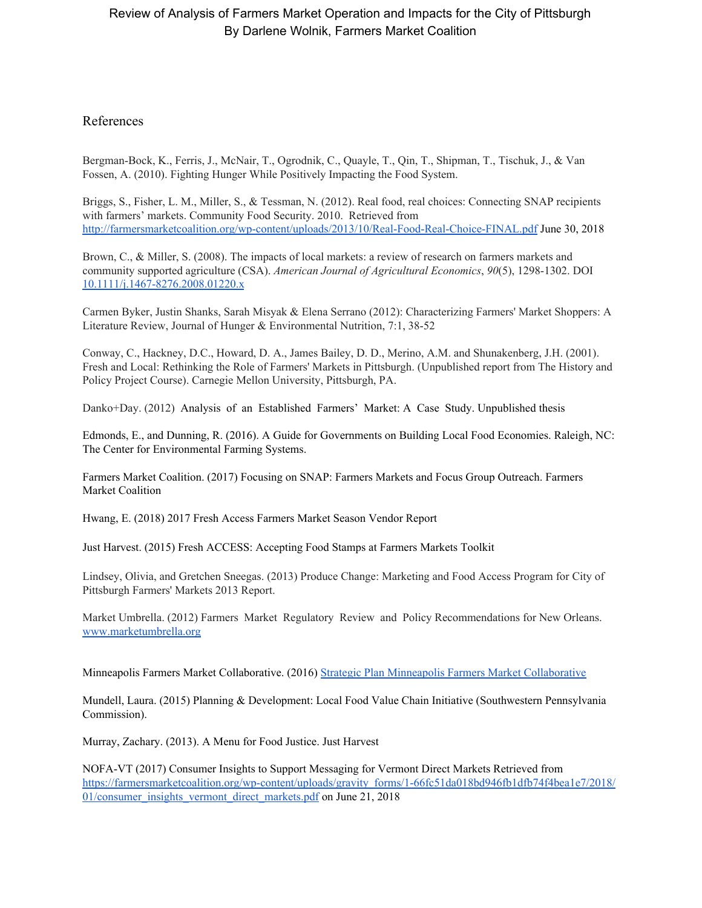#### References

Bergman-Bock, K., Ferris, J., McNair, T., Ogrodnik, C., Quayle, T., Qin, T., Shipman, T., Tischuk, J., & Van Fossen, A. (2010). Fighting Hunger While Positively Impacting the Food System.

Briggs, S., Fisher, L. M., Miller, S., & Tessman, N. (2012). Real food, real choices: Connecting SNAP recipients with farmers' markets. Community Food Security. 2010. Retrieved from <http://farmersmarketcoalition.org/wp-content/uploads/2013/10/Real-Food-Real-Choice-FINAL.pdf> June 30, 2018

Brown, C., & Miller, S. (2008). The impacts of local markets: a review of research on farmers markets and community supported agriculture (CSA). *American Journal of Agricultural Economics*, *90*(5), 1298-1302. DOI [10.1111/j.1467-8276.2008.01220.x](http://doi.org/10.1111/j.1467-8276.2008.01220.x)

Carmen Byker, Justin Shanks, Sarah Misyak & Elena Serrano (2012): Characterizing Farmers' Market Shoppers: A Literature Review, Journal of Hunger & Environmental Nutrition, 7:1, 38-52

Conway, C., Hackney, D.C., Howard, D. A., James Bailey, D. D., Merino, A.M. and Shunakenberg, J.H. (2001). Fresh and Local: Rethinking the Role of Farmers' Markets in Pittsburgh. (Unpublished report from The History and Policy Project Course). Carnegie Mellon University, Pittsburgh, PA.

Danko+Day. (2012) Analysis of an Established Farmers' Market: A Case Study. Unpublished thesis

Edmonds, E., and Dunning, R. (2016). A Guide for Governments on Building Local Food Economies. Raleigh, NC: The Center for Environmental Farming Systems.

Farmers Market Coalition. (2017) Focusing on SNAP: Farmers Markets and Focus Group Outreach. Farmers Market Coalition

Hwang, E. (2018) 2017 Fresh Access Farmers Market Season Vendor Report

Just Harvest. (2015) Fresh ACCESS: Accepting Food Stamps at Farmers Markets Toolkit

Lindsey, Olivia, and Gretchen Sneegas. (2013) Produce Change: Marketing and Food Access Program for City of Pittsburgh Farmers' Markets 2013 Report.

Market Umbrella. (2012) Farmers Market Regulatory Review and Policy Recommendations for New Orleans. [www.marketumbrella.org](http://www.marketumbrella.org/)

Minneapolis Farmers Market Collaborative. (2016) Strategic Plan Minneapolis Farmers Market [Collaborative](http://www.ci.minneapolis.mn.us/www/groups/public/@citycoordinator/documents/webcontent/wcmsp-194465.pdf)

Mundell, Laura. (2015) Planning & Development: Local Food Value Chain Initiative (Southwestern Pennsylvania Commission).

Murray, Zachary. (2013). A Menu for Food Justice. Just Harvest

NOFA-VT (2017) Consumer Insights to Support Messaging for Vermont Direct Markets Retrieved from [https://farmersmarketcoalition.org/wp-content/uploads/gravity\\_forms/1-66fc51da018bd946fb1dfb74f4bea1e7/2018/](https://farmersmarketcoalition.org/wp-content/uploads/gravity_forms/1-66fc51da018bd946fb1dfb74f4bea1e7/2018/01/consumer_insights_vermont_direct_markets.pdf) [01/consumer\\_insights\\_vermont\\_direct\\_markets.pdf](https://farmersmarketcoalition.org/wp-content/uploads/gravity_forms/1-66fc51da018bd946fb1dfb74f4bea1e7/2018/01/consumer_insights_vermont_direct_markets.pdf) on June 21, 2018